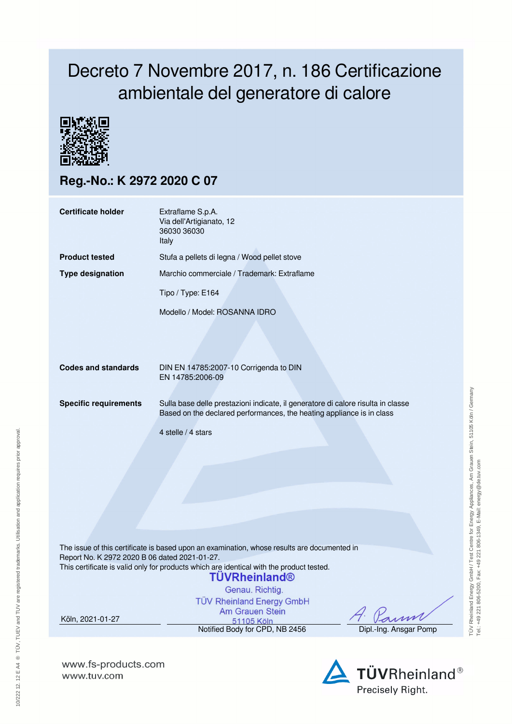## Decreto 7 Novembre 2017, n. 186 Certificazione ambientale del generatore di calore



**Reg.-No.: K 2972 2020 C 07**

| <b>Certificate holder</b>                     | Extraflame S.p.A.<br>Via dell'Artigianato, 12<br>36030 36030<br>Italy                                                                                                                                                                                                                     |                        |  |  |  |  |
|-----------------------------------------------|-------------------------------------------------------------------------------------------------------------------------------------------------------------------------------------------------------------------------------------------------------------------------------------------|------------------------|--|--|--|--|
| <b>Product tested</b>                         | Stufa a pellets di legna / Wood pellet stove                                                                                                                                                                                                                                              |                        |  |  |  |  |
| <b>Type designation</b>                       | Marchio commerciale / Trademark: Extraflame                                                                                                                                                                                                                                               |                        |  |  |  |  |
|                                               | Tipo / Type: E164                                                                                                                                                                                                                                                                         |                        |  |  |  |  |
|                                               | Modello / Model: ROSANNA IDRO                                                                                                                                                                                                                                                             |                        |  |  |  |  |
| <b>Codes and standards</b>                    | DIN EN 14785:2007-10 Corrigenda to DIN<br>EN 14785:2006-09                                                                                                                                                                                                                                |                        |  |  |  |  |
| <b>Specific requirements</b>                  | Sulla base delle prestazioni indicate, il generatore di calore risulta in classe<br>Based on the declared performances, the heating appliance is in class                                                                                                                                 |                        |  |  |  |  |
|                                               | 4 stelle / 4 stars                                                                                                                                                                                                                                                                        |                        |  |  |  |  |
| Report No. K 2972 2020 B 06 dated 2021-01-27. | The issue of this certificate is based upon an examination, whose results are documented in<br>This certificate is valid only for products which are identical with the product tested.<br><b>TÜVRheinland®</b><br>Genau. Richtig.<br><b>TÜV Rheinland Energy GmbH</b><br>Am Grauen Stein |                        |  |  |  |  |
| Köln, 2021-01-27                              | 51105 Köln<br>Notified Body for CPD, NB 2456                                                                                                                                                                                                                                              | Dipl.-Ing. Ansgar Pomp |  |  |  |  |
|                                               |                                                                                                                                                                                                                                                                                           |                        |  |  |  |  |

**www.fs-products.com** www.tuv.com

10/222 12. 12 E A4 ® TÜV, TUEV and TUV are registered trademarks. Utilisation and application requires prior approval.

10/222 12. 12 E A4 ® TŪV, TUEV and TUV are registered trademarks. Utilisation and application requires prior approval.